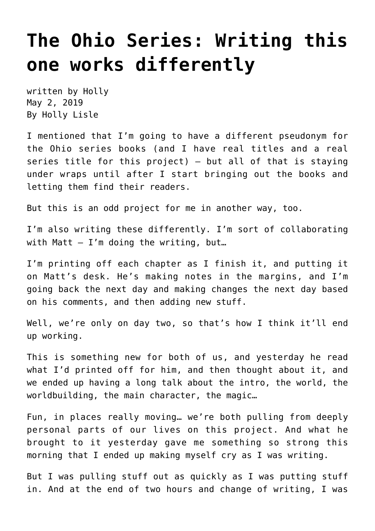## **[The Ohio Series: Writing this](https://hollylisle.com/the-ohio-series-writing-this-one-works-differently/) [one works differently](https://hollylisle.com/the-ohio-series-writing-this-one-works-differently/)**

written by Holly May 2, 2019 [By Holly Lisle](https://hollylisle.com)

I mentioned that I'm going to have a different pseudonym for the Ohio series books (and I have real titles and a real series title for this project) — but all of that is staying under wraps until after I start bringing out the books and letting them find their readers.

But this is an odd project for me in another way, too.

I'm also writing these differently. I'm sort of collaborating with Matt  $-$  I'm doing the writing, but...

I'm printing off each chapter as I finish it, and putting it on Matt's desk. He's making notes in the margins, and I'm going back the next day and making changes the next day based on his comments, and then adding new stuff.

Well, we're only on day two, so that's how I think it'll end up working.

This is something new for both of us, and yesterday he read what I'd printed off for him, and then thought about it, and we ended up having a long talk about the intro, the world, the worldbuilding, the main character, the magic…

Fun, in places really moving… we're both pulling from deeply personal parts of our lives on this project. And what he brought to it yesterday gave me something so strong this morning that I ended up making myself cry as I was writing.

But I was pulling stuff out as quickly as I was putting stuff in. And at the end of two hours and change of writing, I was